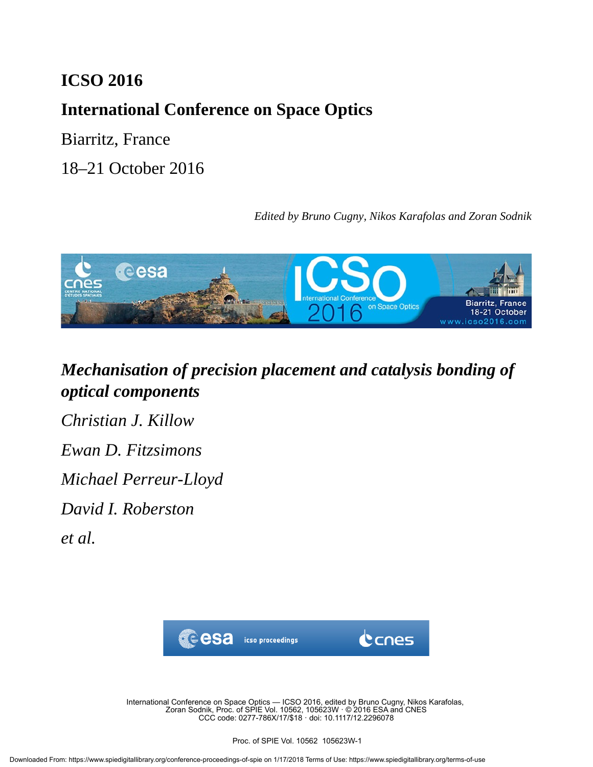### **ICSO 2016**

## **International Conference on Space Optics**

Biarritz, France

18–21 October 2016

*Edited by Bruno Cugny, Nikos Karafolas and Zoran Sodnik*



# *Mechanisation of precision placement and catalysis bonding of optical components*

*Christian J. Killow*

*Ewan D. Fitzsimons*

*Michael Perreur-Lloyd*

*David I. Roberston*

*et al.*



International Conference on Space Optics — ICSO 2016, edited by Bruno Cugny, Nikos Karafolas, Zoran Sodnik, Proc. of SPIE Vol. 10562, 105623W · © 2016 ESA and CNES CCC code: 0277-786X/17/\$18 · doi: 10.1117/12.2296078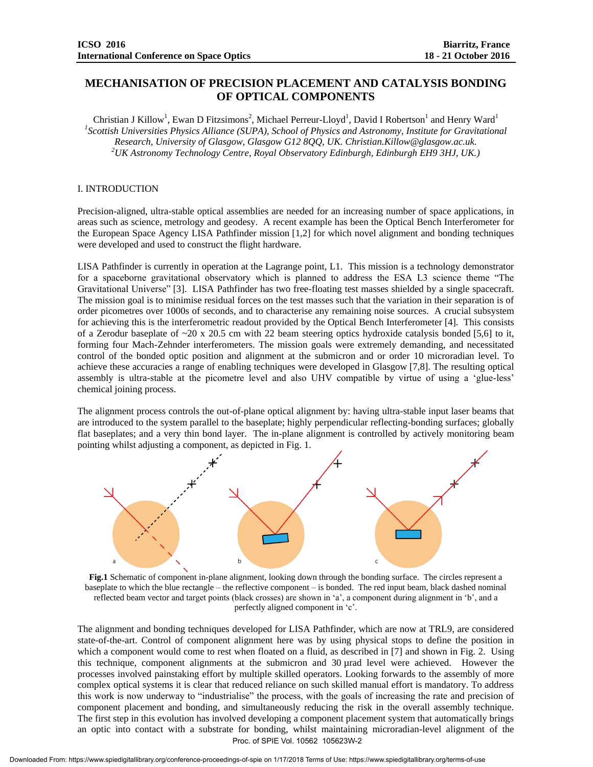### **MECHANISATION OF PRECISION PLACEMENT AND CATALYSIS BONDING OF OPTICAL COMPONENTS**

Christian J Killow<sup>1</sup>, Ewan D Fitzsimons<sup>2</sup>, Michael Perreur-Lloyd<sup>1</sup>, David I Robertson<sup>1</sup> and Henry Ward<sup>1</sup> <sup>1</sup> Scottish Universities Physics Alliance (SUPA), School of Physics and Astronomy, Institute for Gravitational *Research, University of Glasgow, Glasgow G12 8QQ, UK. Christian.Killow@glasgow.ac.uk. <sup>2</sup>UK Astronomy Technology Centre, Royal Observatory Edinburgh, Edinburgh EH9 3HJ, UK.)*

#### I. INTRODUCTION

Precision-aligned, ultra-stable optical assemblies are needed for an increasing number of space applications, in areas such as science, metrology and geodesy. A recent example has been the Optical Bench Interferometer for the European Space Agency LISA Pathfinder mission [1,2] for which novel alignment and bonding techniques were developed and used to construct the flight hardware.

LISA Pathfinder is currently in operation at the Lagrange point, L1. This mission is a technology demonstrator for a spaceborne gravitational observatory which is planned to address the ESA L3 science theme "The Gravitational Universe" [3]. LISA Pathfinder has two free-floating test masses shielded by a single spacecraft. The mission goal is to minimise residual forces on the test masses such that the variation in their separation is of order picometres over 1000s of seconds, and to characterise any remaining noise sources. A crucial subsystem for achieving this is the interferometric readout provided by the Optical Bench Interferometer [4]. This consists of a Zerodur baseplate of  $\sim$ 20 x 20.5 cm with 22 beam steering optics hydroxide catalysis bonded [5,6] to it, forming four Mach-Zehnder interferometers. The mission goals were extremely demanding, and necessitated control of the bonded optic position and alignment at the submicron and or order 10 microradian level. To achieve these accuracies a range of enabling techniques were developed in Glasgow [7,8]. The resulting optical assembly is ultra-stable at the picometre level and also UHV compatible by virtue of using a 'glue-less' chemical joining process.

The alignment process controls the out-of-plane optical alignment by: having ultra-stable input laser beams that are introduced to the system parallel to the baseplate; highly perpendicular reflecting-bonding surfaces; globally flat baseplates; and a very thin bond layer. The in-plane alignment is controlled by actively monitoring beam pointing whilst adjusting a component, as depicted in Fig. 1.



**Fig.1** Schematic of component in-plane alignment, looking down through the bonding surface. The circles represent a baseplate to which the blue rectangle – the reflective component – is bonded. The red input beam, black dashed nominal reflected beam vector and target points (black crosses) are shown in 'a', a component during alignment in 'b', and a perfectly aligned component in 'c'.

The alignment and bonding techniques developed for LISA Pathfinder, which are now at TRL9, are considered state-of-the-art. Control of component alignment here was by using physical stops to define the position in which a component would come to rest when floated on a fluid, as described in [7] and shown in Fig. 2. Using this technique, component alignments at the submicron and 30 µrad level were achieved. However the processes involved painstaking effort by multiple skilled operators. Looking forwards to the assembly of more complex optical systems it is clear that reduced reliance on such skilled manual effort is mandatory. To address this work is now underway to "industrialise" the process, with the goals of increasing the rate and precision of component placement and bonding, and simultaneously reducing the risk in the overall assembly technique. The first step in this evolution has involved developing a component placement system that automatically brings an optic into contact with a substrate for bonding, whilst maintaining microradian-level alignment of the Proc. of SPIE Vol. 10562 105623W-2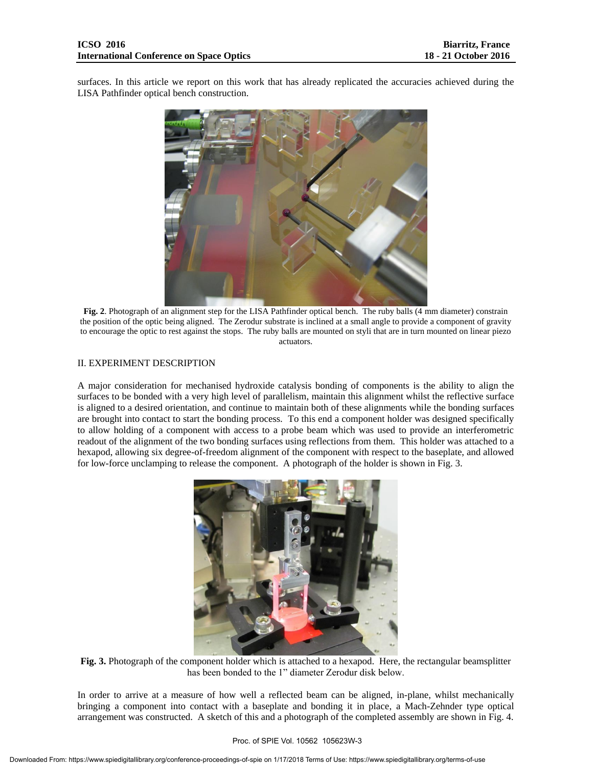surfaces. In this article we report on this work that has already replicated the accuracies achieved during the LISA Pathfinder optical bench construction.



**Fig. 2**. Photograph of an alignment step for the LISA Pathfinder optical bench. The ruby balls (4 mm diameter) constrain the position of the optic being aligned. The Zerodur substrate is inclined at a small angle to provide a component of gravity to encourage the optic to rest against the stops. The ruby balls are mounted on styli that are in turn mounted on linear piezo actuators.

#### II. EXPERIMENT DESCRIPTION

A major consideration for mechanised hydroxide catalysis bonding of components is the ability to align the surfaces to be bonded with a very high level of parallelism, maintain this alignment whilst the reflective surface is aligned to a desired orientation, and continue to maintain both of these alignments while the bonding surfaces are brought into contact to start the bonding process. To this end a component holder was designed specifically to allow holding of a component with access to a probe beam which was used to provide an interferometric readout of the alignment of the two bonding surfaces using reflections from them. This holder was attached to a hexapod, allowing six degree-of-freedom alignment of the component with respect to the baseplate, and allowed for low-force unclamping to release the component. A photograph of the holder is shown in Fig. 3.



**Fig. 3.** Photograph of the component holder which is attached to a hexapod. Here, the rectangular beamsplitter has been bonded to the 1" diameter Zerodur disk below.

In order to arrive at a measure of how well a reflected beam can be aligned, in-plane, whilst mechanically bringing a component into contact with a baseplate and bonding it in place, a Mach-Zehnder type optical arrangement was constructed. A sketch of this and a photograph of the completed assembly are shown in Fig. 4.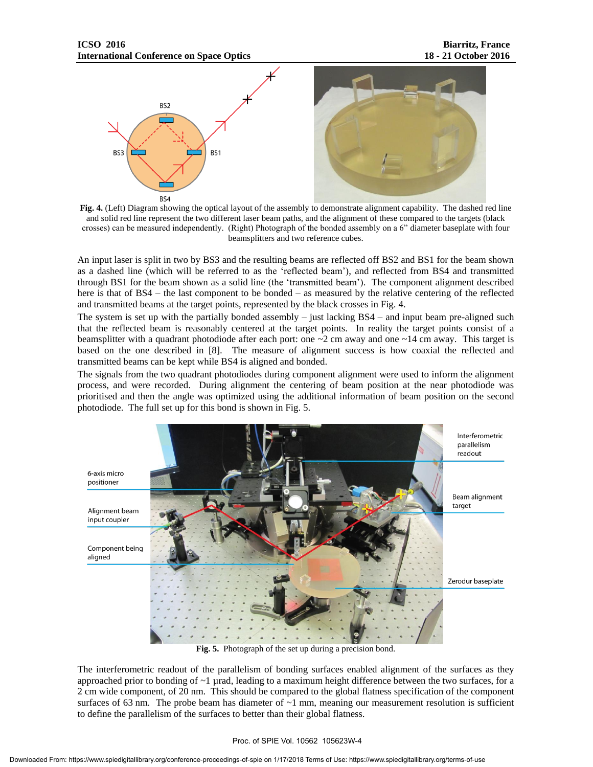



An input laser is split in two by BS3 and the resulting beams are reflected off BS2 and BS1 for the beam shown as a dashed line (which will be referred to as the 'reflected beam'), and reflected from BS4 and transmitted through BS1 for the beam shown as a solid line (the 'transmitted beam'). The component alignment described here is that of BS4 – the last component to be bonded – as measured by the relative centering of the reflected and transmitted beams at the target points, represented by the black crosses in Fig. 4.

The system is set up with the partially bonded assembly  $-$  just lacking BS4 – and input beam pre-aligned such that the reflected beam is reasonably centered at the target points. In reality the target points consist of a beamsplitter with a quadrant photodiode after each port: one  $\sim$ 2 cm away and one  $\sim$ 14 cm away. This target is based on the one described in [8]. The measure of alignment success is how coaxial the reflected and transmitted beams can be kept while BS4 is aligned and bonded.

The signals from the two quadrant photodiodes during component alignment were used to inform the alignment process, and were recorded. During alignment the centering of beam position at the near photodiode was prioritised and then the angle was optimized using the additional information of beam position on the second photodiode. The full set up for this bond is shown in Fig. 5.



**Fig. 5.** Photograph of the set up during a precision bond.

The interferometric readout of the parallelism of bonding surfaces enabled alignment of the surfaces as they approached prior to bonding of  $\sim$ 1 µrad, leading to a maximum height difference between the two surfaces, for a 2 cm wide component, of 20 nm. This should be compared to the global flatness specification of the component surfaces of 63 nm. The probe beam has diameter of  $\sim$ 1 mm, meaning our measurement resolution is sufficient to define the parallelism of the surfaces to better than their global flatness.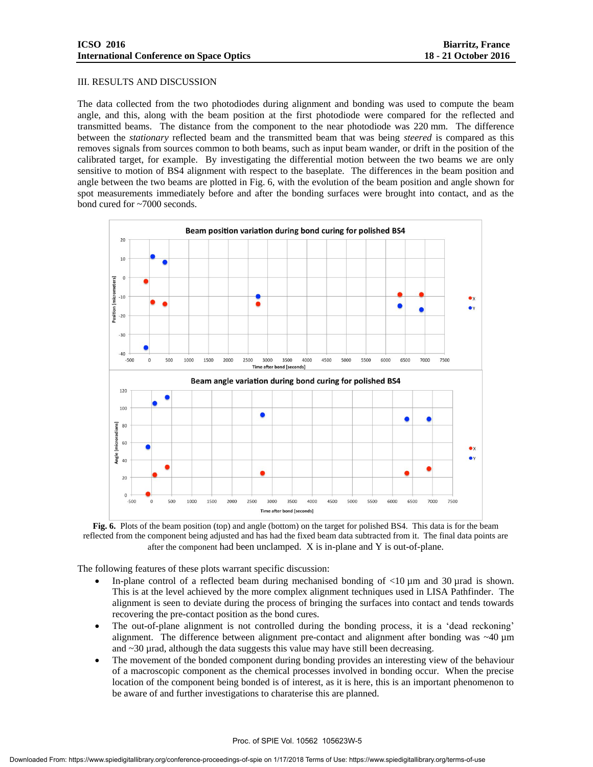#### III. RESULTS AND DISCUSSION

The data collected from the two photodiodes during alignment and bonding was used to compute the beam angle, and this, along with the beam position at the first photodiode were compared for the reflected and transmitted beams. The distance from the component to the near photodiode was 220 mm. The difference between the *stationary* reflected beam and the transmitted beam that was being *steered* is compared as this removes signals from sources common to both beams, such as input beam wander, or drift in the position of the calibrated target, for example. By investigating the differential motion between the two beams we are only sensitive to motion of BS4 alignment with respect to the baseplate. The differences in the beam position and angle between the two beams are plotted in Fig. 6, with the evolution of the beam position and angle shown for spot measurements immediately before and after the bonding surfaces were brought into contact, and as the bond cured for ~7000 seconds.





The following features of these plots warrant specific discussion:

- In-plane control of a reflected beam during mechanised bonding of  $\langle 10 \mu m \rangle$  and 30  $\mu$ rad is shown. This is at the level achieved by the more complex alignment techniques used in LISA Pathfinder. The alignment is seen to deviate during the process of bringing the surfaces into contact and tends towards recovering the pre-contact position as the bond cures.
- The out-of-plane alignment is not controlled during the bonding process, it is a 'dead reckoning' alignment. The difference between alignment pre-contact and alignment after bonding was ~40 µm and  $\sim$  30 µrad, although the data suggests this value may have still been decreasing.
- The movement of the bonded component during bonding provides an interesting view of the behaviour of a macroscopic component as the chemical processes involved in bonding occur. When the precise location of the component being bonded is of interest, as it is here, this is an important phenomenon to be aware of and further investigations to charaterise this are planned.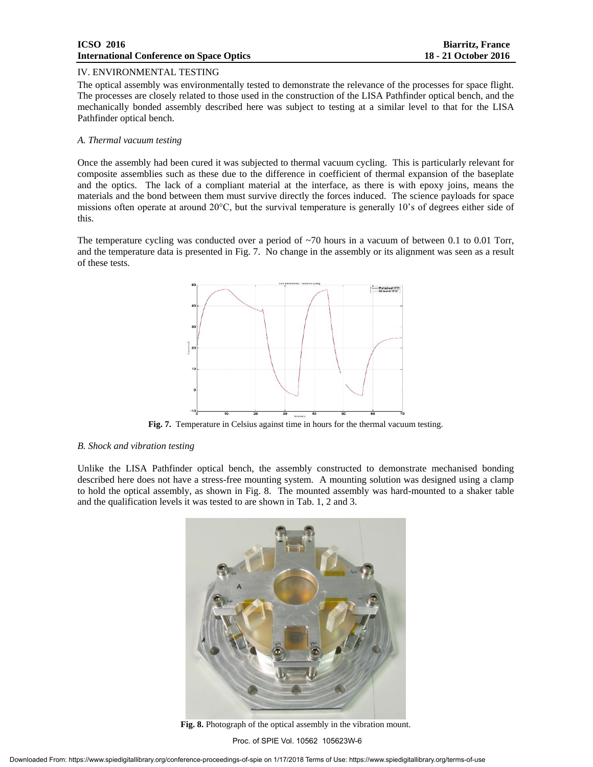#### **ICSO 2016 Biarritz, France International Conference on Space Optics 18 - 21 October 2016**

#### IV. ENVIRONMENTAL TESTING

The optical assembly was environmentally tested to demonstrate the relevance of the processes for space flight. The processes are closely related to those used in the construction of the LISA Pathfinder optical bench, and the mechanically bonded assembly described here was subject to testing at a similar level to that for the LISA Pathfinder optical bench.

#### *A. Thermal vacuum testing*

Once the assembly had been cured it was subjected to thermal vacuum cycling. This is particularly relevant for composite assemblies such as these due to the difference in coefficient of thermal expansion of the baseplate and the optics. The lack of a compliant material at the interface, as there is with epoxy joins, means the materials and the bond between them must survive directly the forces induced. The science payloads for space missions often operate at around 20°C, but the survival temperature is generally 10's of degrees either side of this.

The temperature cycling was conducted over a period of ~70 hours in a vacuum of between 0.1 to 0.01 Torr, and the temperature data is presented in Fig. 7. No change in the assembly or its alignment was seen as a result of these tests.



**Fig. 7.** Temperature in Celsius against time in hours for the thermal vacuum testing.

#### *B. Shock and vibration testing*

Unlike the LISA Pathfinder optical bench, the assembly constructed to demonstrate mechanised bonding described here does not have a stress-free mounting system. A mounting solution was designed using a clamp to hold the optical assembly, as shown in Fig. 8. The mounted assembly was hard-mounted to a shaker table and the qualification levels it was tested to are shown in Tab. 1, 2 and 3.



**Fig. 8.** Photograph of the optical assembly in the vibration mount.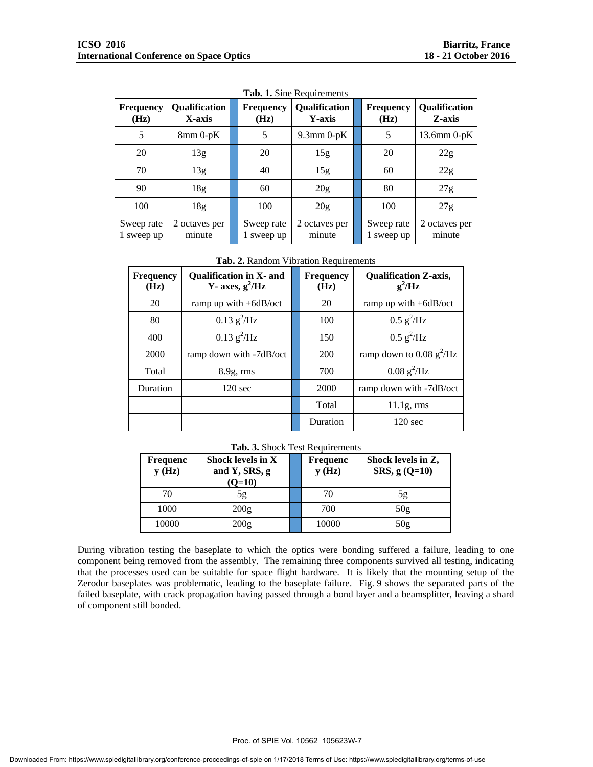| <b>Frequency</b><br>(Hz) | <b>Qualification</b><br>X-axis | <b>Frequency</b><br>(Hz) | <b>Qualification</b><br>Y-axis | <b>Frequency</b><br>(Hz) | <b>Qualification</b><br>Z-axis |
|--------------------------|--------------------------------|--------------------------|--------------------------------|--------------------------|--------------------------------|
| 5                        | $8mm$ 0-pK                     | 5                        | $9.3$ mm $0$ -pK               | 5                        | $13.6$ mm $0$ -pK              |
| 20                       | 13g                            | 20                       | 15g                            | 20                       | 22g                            |
| 70                       | 13g                            | 40                       | 15g                            | 60                       | 22g                            |
| 90                       | 18 <sub>g</sub>                | 60                       | 20 <sub>g</sub>                | 80                       | 27g                            |
| 100                      | 18 <sub>g</sub>                | 100                      | 20 <sub>g</sub>                | 100                      | 27g                            |
| Sweep rate<br>1 sweep up | 2 octaves per<br>minute        | Sweep rate<br>1 sweep up | 2 octaves per<br>minute        | Sweep rate<br>1 sweep up | 2 octaves per<br>minute        |

**Tab. 1.** Sine Requirements

**Tab. 2.** Random Vibration Requirements

| <b>Frequency</b><br>(Hz) | <b>Oualification in X- and</b><br>Y- axes, $g^2/Hz$ |  | <b>Frequency</b><br>(Hz) | <b>Qualification Z-axis,</b><br>$g^2/Hz$ |
|--------------------------|-----------------------------------------------------|--|--------------------------|------------------------------------------|
| 20                       | ramp up with +6dB/oct                               |  | 20                       | ramp up with $+6dB/cct$                  |
| 80                       | $0.13 \text{ g}^2/\text{Hz}$                        |  | 100                      | $0.5 \text{ g}^2/\text{Hz}$              |
| 400                      | $0.13 \text{ g}^2/\text{Hz}$                        |  | 150                      | $0.5 \text{ g}^2/\text{Hz}$              |
| 2000                     | ramp down with -7dB/oct                             |  | <b>200</b>               | ramp down to 0.08 $g^2$ /Hz              |
| Total                    | $8.9g$ , rms                                        |  | 700                      | $0.08 \text{ g}^2/\text{Hz}$             |
| Duration                 | $120 \text{ sec}$                                   |  | 2000                     | ramp down with -7dB/oct                  |
|                          |                                                     |  | Total                    | $11.1g$ , rms                            |
|                          |                                                     |  | Duration                 | $120 \text{ sec}$                        |

#### **Tab. 3.** Shock Test Requirements

| Frequenc<br>y(Hz) | <b>Shock levels in X</b><br>and Y, SRS, g<br>$(O=10)$ |  | <b>Frequenc</b><br>y(Hz) | Shock levels in Z,<br>$SRS, g (Q=10)$ |
|-------------------|-------------------------------------------------------|--|--------------------------|---------------------------------------|
| 70                | 5g                                                    |  | 70                       | 5g                                    |
| 1000              | 200g                                                  |  | 700                      | 50g                                   |
| 10000             | 200g                                                  |  | 10000                    | 50 <sub>g</sub>                       |

During vibration testing the baseplate to which the optics were bonding suffered a failure, leading to one component being removed from the assembly. The remaining three components survived all testing, indicating that the processes used can be suitable for space flight hardware. It is likely that the mounting setup of the Zerodur baseplates was problematic, leading to the baseplate failure. Fig. 9 shows the separated parts of the failed baseplate, with crack propagation having passed through a bond layer and a beamsplitter, leaving a shard of component still bonded.